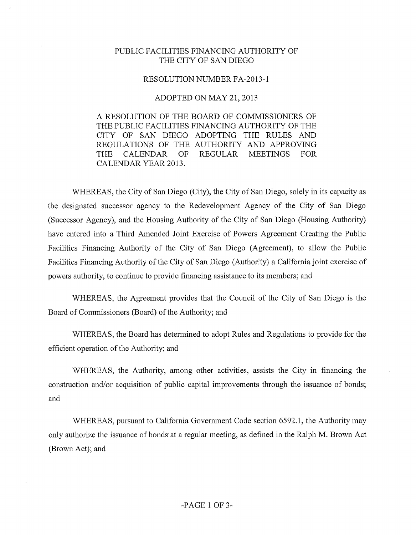#### PUBLIC FACILITIES FINANCING AUTHORITY OF THE CITY OF SAN DIEGO

#### RESOLUTION NUMBER FA-2013-1

#### ADOPTED ON MAY 21, 2013

A RESOLUTION OF THE BOARD OF COMMISSIONERS OF THE PUBLIC FACILITIES FINANCING AUTHORITY OF THE CITY OF SAN DIEGO ADOPTING THE RULES AND REGULATIONS OF THE AUTHORITY AND APPROVING THE CALENDAR OF REGULAR MEETINGS FOR CALENDAR YEAR 2013.

WHEREAS, the City of San Diego (City), the City of San Diego, solely in its capacity as the designated successor agency to the Redevelopment Agency of the City of San Diego (Successor Agency), and the Housing Authority of the City of San Diego (Housing Authority) have entered into a Third Amended Joint Exercise of Powers Agreement Creating the Public Facilities Financing Authority of the City of San Diego (Agreement), to allow the Public Facilities Financing Authority of the City of San Diego (Authority) a California joint exercise of powers authority, to continue to provide financing assistance to its members; and

WHEREAS, the Agreement provides that the Council of the City of San Diego is the Board of Commissioners (Board) of the Authority; and

WHEREAS, the Board has determined to adopt Rules and Regulations to provide for the efficient operation of the Authority; and

WHEREAS, the Authority, among other activities, assists the City in financing the construction and/or acquisition of public capital improvements through the issuance of bonds; and

WHEREAS, pursuant to California Govenunent Code section 6592.1, the Authority may only authorize the issuance of bonds at a regular meeting, as defined in the Ralph M. Brown Act (Brown Act); and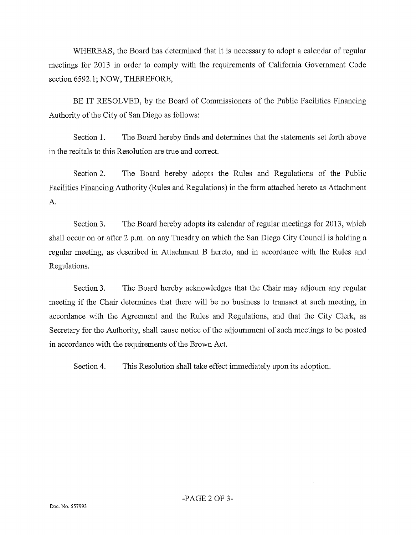WHEREAS, the Board has determined that it is necessary to adopt a calendar of regular meetings for 2013 in order to comply with the requirements of Califomia Government Code section 6592.1; NOW, THEREFORE,

BE IT RESOLVED, by the Board of Commissioners of the Public Facilities Financing Authority of the City of San Diego as follows:

Section 1. The Board hereby finds and detennines that the statements set forth above in the recitals to this Resolution are true and correct.

Section 2. The Board hereby adopts the Rules and Regulations of the Public Facilities Financing Authority (Rules and Regulations) in the fonn attached hereto as Attachment A.

Section 3. The Board hereby adopts its calendar of regular meetings for 2013, which shall occur on or after 2 p.m. on any Tuesday on which the San Diego City Council is holding a regular meeting, as described in Attachment B hereto, and in accordance with the Rules and Regulations.

Section 3. The Board hereby acknowledges that the Chair may adjoum any regular meeting if the Chair determines that there will be no business to transact at such meeting, in accordance with the Agreement and the Rules and Regulations, and that the City Clerk, as Secretary for the Authority, shall cause notice of the adjoumment of such meetings to be posted in accordance with the requirements of the Brown Act.

Section 4. This Resolution shall take effect immediately upon its adoption.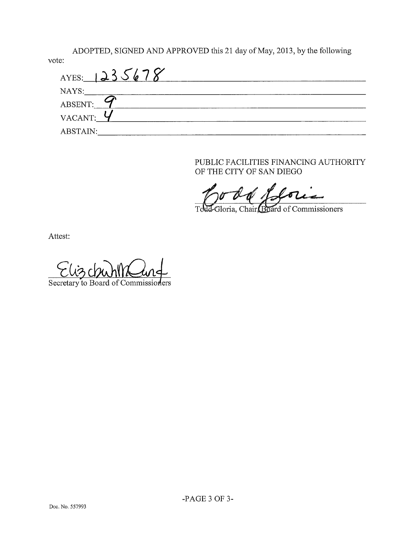ADOPTED, SIGNED AND APPROVED this 21 day of May, 2013, by the following

| vote:         |  |  |
|---------------|--|--|
| AYES: 1235678 |  |  |
| NAYS:         |  |  |
| ABSENT:       |  |  |
|               |  |  |
| ABSTAIN:      |  |  |

PUBLIC FACILITIES FINANCING AUTHORITY OF THE CITY OF SAN DIEGO

Jodd offori

LGloria, Chair Board of Commissioners T<sub>c</sub>

Attest:

Secretary to Board of Commissioners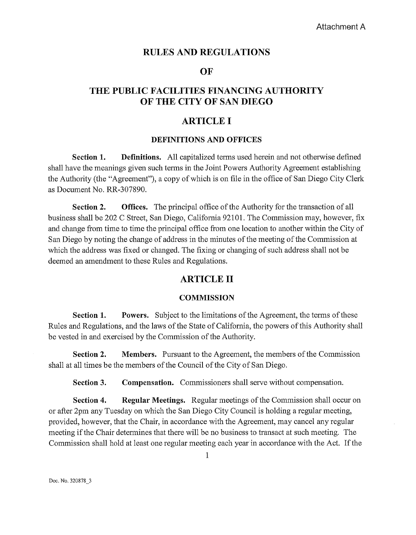### **RULES AND REGULATIONS**

#### **OF**

## **THE PUBLIC FACILITIES FINANCING AUTHORITY OF THE CITY OF SAN DIEGO**

### **ARTICLE I**

#### **DEFINITIONS AND OFFICES**

**Section 1.** Definitions. All capitalized terms used herein and not otherwise defined shall have the meanings given such tenns in the Joint Powers Authority Agreement establishing the Authority (the "Agreement"), a copy of which is on file in the office of San Diego City Clerk as Document No. RR-307890.

**Section 2. Offices.** The principal office of the Authority for the transaction of all business shall be 202 C Street, San Diego, California 92101. The Commission may, however, fix and change from time to time the principal office from one location to another within the City of San Diego by noting the change of address in the minutes of the meeting of the Commission at which the address was fixed or changed. The fixing or changing of such address shall not be deemed an amendment to these Rules and Regulations.

## **ARTICLE II**

#### **COMMISSION**

**Section 1.** Powers. Subject to the limitations of the Agreement, the terms of these Rules and Regulations, and the laws of the State of California, the powers of this Authority shall be vested in and exercised by the Commission of the Authority.

**Section 2. Members.** Pursuant to the Agreement, the members of the Commission shall at all times be the members of the Council of the City of San Diego.

**Section 3.** Compensation. Commissioners shall serve without compensation.

**Section 4. Regular Meetings.** Regular meetings of the Commission shall occur on or after 2pm any Tuesday on which the San Diego City Council is holding a regular meeting, provided, however, that the Chair, in accordance with the Agreement, may cancel any regular meeting if the Chair determines that there will be no business to transact at such meeting. The Commission shall hold at least one regular meeting each year in accordance with the Act. If the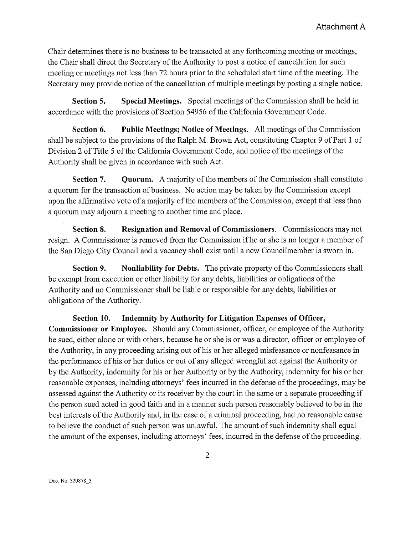Chair determines there is no business to be transacted at any forthcoming meeting or meetings, the Chair shall direct the Secretary of the Authority to post a notice of cancellation for such meeting or meetings not less than 72 hours prior to the scheduled start time of the meeting. The Secretary may provide notice of the cancellation of multiple meetings by posting a single notice.

**Section 5. Special Meetings.** Special meetings of the Commission shall be held in accordance with the provisions of Section 54956 of the Califomia Govemment Code.

**Section 6.** Public Meetings; Notice of Meetings. All meetings of the Commission shall be subject to the provisions of the Ralph M. Brown Act, constituting Chapter 9 of Part 1 of Division 2 of Title 5 of the California Government Code, and notice of the meetings of the Authority shall be given in accordance with such Act.

**Section 7.** Quorum. A majority of the members of the Commission shall constitute a quorum for the transaction of business. No action may be taken by the Commission except upon the affirmative vote of a majority of the members of the Commission, except that less than a quorum may adjoum a meeting to another time and place.

**Section 8. Resignation and Removal of Commissioners.** Commissioners may not resign. A Commissioner is removed from the Commission if he or she is no longer a member of the San Diego City Council and a vacancy shall exist until a new Councilmember is swom in.

**Section 9. Nonliability for Debts.** The private property of the Commissioners shall be exempt from execution or other liability for any debts, liabilities or obligations of the Authority and no Commissioner shall be liable or responsible for any debts, liabilities or obligations of the Authority.

**Section 10. Indemnity by Authority for Litigation Expenses of Officer, Commissioner or Employee.** Should any Commissioner, officer, or employee of the Authority be sued, either alone or with others, because he or she is or was a director, officer or employee of the Authority, in any proceeding arising out of his or her alleged misfeasance or nonfeasance in the perfonnance of his or her duties or out of any alleged wrongful act against the Authority or by the Authority, indemnity for his or her Authority or by the Authority, indemnity for his or her reasonable expenses, including attorneys' fees incurred in the defense of the proceedings, may be assessed against the Authority or its receiver by the court in the same or a separate proceeding if the person sued acted in good faith and in a manner such person reasonably believed to be in the best interests of the Authority and, in the case of a criminal proceeding, had no reasonable cause to believe the conduct of such person was unlawful. The amount of such indemnity shall equal the amount of the expenses, including attorneys' fees, incurred in the defense of the proceeding.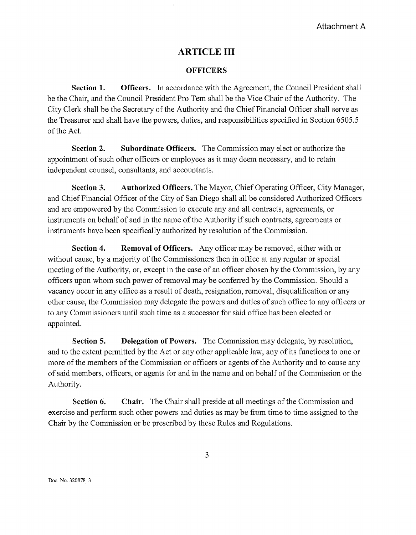## **ARTICLE III**

#### **OFFICERS**

**Section 1. Officers.** In accordance with the Agreement, the Council President shall be the Chair, and the Council President Pro Tem shall be the Vice Chair of the Authority. The City Clerk shall be the Secretary of the Authority and the Chief Financial Officer shall serve as the Treasurer and shall have the powers, duties, and responsibilities specified in Section 6505.5 of the Act.

**Section 2. Subordinate Officers.** The Commission may elect or authorize the appointment of such other officers or employees as it may deem necessary, and to retain independent counsel, consultants, and accountants.

**Section 3. Authorized Officers.** The Mayor, Chief Operating Officer, City Manager, and Chief Financial Officer of the City of San Diego shall all be considered Authorized Officers and are empowered by the Commission to execute any and all contracts, agreements, or instruments on behalf of and in the name of the Authority if such contracts, agreements or instruments have been specifically authorized by resolution of the Commission.

**Section 4. Removal of Officers.** Any officer may be removed, either with or without cause, by a majority of the Commissioners then in office at any regular or special meeting of the Authority, or, except in the case of an officer chosen by the Commission, by any officers upon whom such power of removal may be confetred by the Commission. Should a vacancy occur in any office as a result of death, resignation, removal, disqualification or any other cause, the Commission may delegate the powers and duties of such office to any officers or to any Commissioners until such time as a successor for said office has been elected or appointed.

**Section 5. Delegation of Powers.** The Commission may delegate, by resolution, and to the extent pennitted by the Act or any other applicable law, any of its functions to one or more of the members of the Commission or officers or agents of the Authority and to cause any of said members, officers, or agents for and in the name and on behalf of the Commission or the Authority.

**Section 6. Chair.** The Chair shall preside at all meetings of the Commission and exercise and perform such other powers and duties as may be from time to time assigned to the Chair by the Commission or be prescribed by these Rules and Regulations.

Doc. No. 320878\_3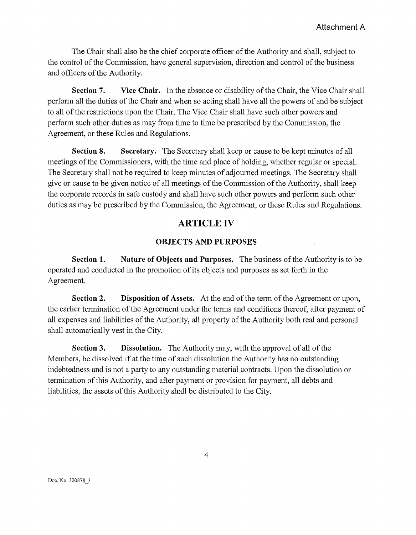The Chair shall also be the chief corporate officer of the Authority and shall, subject to the control of the Commission, have general supervision, direction and control of the business and officers of the Authority.

**Section 7. Vice Chair.** In the absence or disability of the Chair, the Vice Chair shall perfonn all the duties of the Chair and when so acting shall have all the powers of and be subject to all of the restrictions upon the Chair. The Vice Chair shall have such other powers and perform such other duties as may from time to time be prescribed by the Commission, the Agreement, or these Rules and Regulations.

**Section 8. Secretary.** The Secretary shall keep or cause to be kept minutes of all meetings of the Commissioners, with the time and place of holding, whether regular or special. The Secretary shall not be required to keep minutes of adjourned meetings. The Secretary shall give or cause to be given notice of all meetings of the Commission of the Authority, shall keep the corporate records in safe custody and shall have such other powers and perform such other duties as may be prescribed by the Commission, the Agreement, or these Rules and Regulations.

## **ARTICLE IV**

#### **OBJECTS AND PURPOSES**

**Section 1. Nature of Objects and Purposes.** The business of the Authority is to be operated and conducted in the promotion of its objects and purposes as set forth in the Agreement.

**Section 2. Disposition of Assets.** At the end of the term of the Agreement or upon, the earlier tennination of the Agreement under the tenns and conditions thereof, after payment of all expenses and liabilities of the Authority, all property of the Authority both real and personal shall automatically vest in the City.

**Section 3. Dissolution.** The Authority may, with the approval of all of the Members, be dissolved if at the time of such dissolution the Authority has no outstanding indebtedness and is not a party to any outstanding material contracts. Upon the dissolution or termination of this Authority, and after payment or provision for payment, all debts and liabilities, the assets of this Authority shall be distributed to the City.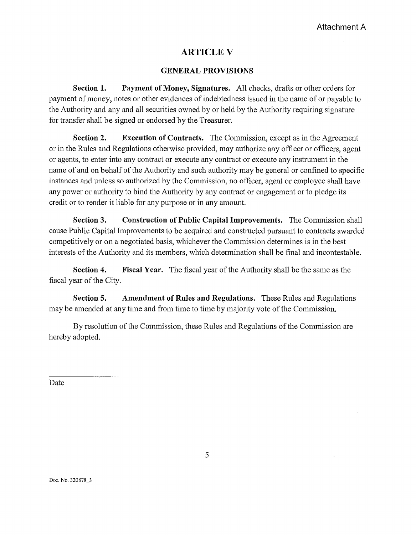## **ARTICLEV**

### **GENERAL PROVISIONS**

**Section 1. Payment of Money, Signatures.** All checks, drafts or other orders for payment of money, notes or other evidences of indebtedness issued in the name of or payable to the Authority and any and all securities owned by or held by the Authority requiring signature for transfer shall be signed or endorsed by the Treasurer.

**Section 2. Execution of Contracts.** The Commission, except as in the Agreement or in the Rules and Regulations otherwise provided, may authorize any officer or officers, agent or agents, to enter into any contract or execute any contract or execute any instrument in the name of and on behalf of the Authority and such authority may be general or confined to specific instances and unless so authorized by the Commission, no officer, agent or employee shall have any power or authority to bind the Authority by any contract or engagement or to pledge its credit or to render it liable for any purpose or in any amount.

**Section 3. Construction of Public Capital Improvements.** The Commission shall cause Public Capital Improvements to be acquired and constructed pursuant to contracts awarded competitively or on a negotiated basis, whichever the Commission determines is in the best interests of the Authority and its members, which detennination shall be final and incontestable.

**Section 4. Fiscal Year.** The fiscal year of the Authority shall be the same as the fiscal year of the City.

**Section 5. Amendment of Rules and Regulations.** These Rules and Regulations may be amended at any time and from time to time by majority vote of the Commission.

By resolution of the Commission, these Rules and Regulations of the Commission are hereby adopted.

Date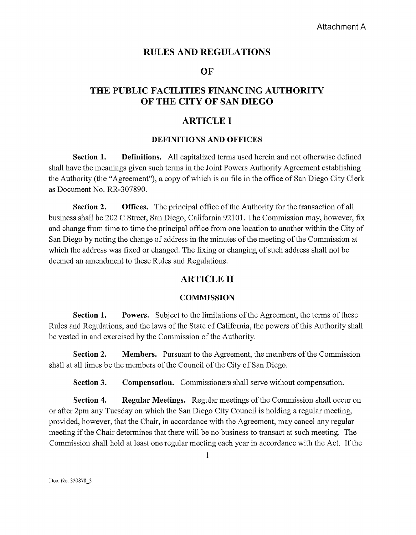## **RULES AND REGULATIONS**

### **OF**

# **THE PUBLIC FACILITIES FINANCING AUTHORITY OF THE CITY OF SAN DIEGO**

## **ARTICLE I**

#### **DEFINITIONS AND OFFICES**

**Section 1.** Definitions. All capitalized terms used herein and not otherwise defined shall have the meanings given such terms in the Joint Powers Authority Agreement establishing the Authority (the "Agreement"), a copy of which is on file in the office of San Diego City Clerk as Document No. RR-307890.

**Section 2.** Offices. The principal office of the Authority for the transaction of all business shall be 202 C Street, San Diego, California 92101. The Commission may, however, fix and change from time to time the principal office from one location to another within the City of San Diego by noting the change of address in the minutes of the meeting of the Commission at which the address was fixed or changed. The fixing or changing of such address shall not be deemed an amendment to these Rules and Regulations.

## **ARTICLE II**

### **COMMISSION**

**Section 1.** Powers. Subject to the limitations of the Agreement, the terms of these Rules and Regulations, and the laws of the State of Califomia, the powers of this Authority shall be vested in and exercised by the Commission of the Authority.

**Section 2. Members.** Pursuant to the Agreement, the members of the Commission shall at all times be the members of the Council of the City of San Diego.

**Section 3. Compensation.** Commissioners shall serve without compensation.

**Section 4. Regular Meetings.** Regular meetings of the Commission shall occur on or after 2pm any Tuesday on which the San Diego City Council is holding a regular meeting, provided, however, that the Chair, in accordance with the Agreement, may cancel any regular meeting if the Chair determines that there will be no business to transact at such meeting. The Commission shall hold at least one regular meeting each year in accordance with the Act. If the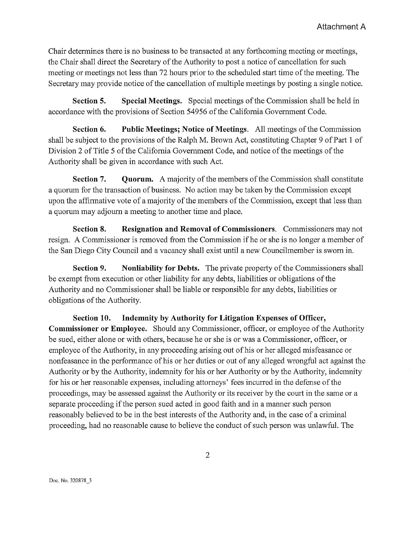Chair detennines there is no business to be transacted at any forthcoming meeting or meetings, the Chair shall direct the Secretary of the Authority to post a notice of cancellation for such meeting or meetings not less than 72 hours prior to the scheduled start time of the meeting. The Secretary may provide notice of the cancellation of multiple meetings by posting a single notice.

Section 5. Special Meetings. Special meetings of the Commission shall be held in accordance with the provisions of Section 54956 of the Califomia Govermnent Code.

Section 6. Public Meetings; Notice of Meetings. All meetings of the Commission shall be subject to the provisions of the Ralph M. Brown Act, constituting Chapter 9 of Part 1 of Division 2 of Title 5 of the Califomia Govemment Code, and notice of the meetings of the Authority shall be given in accordance with such Act.

Section 7. Quorum. A majority of the members of the Commission shall constitute a quorum for the transaction of business. No action may be taken by the Commission except upon the affinnative vote of a majority of the members of the Commission, except that less than a quorum may adjoum a meeting to another time and place.

Section 8. Resignation and Removal of Commissioners. Commissioners may not resign. A Commissioner is removed from the Commission if he or she is no longer a member of the San Diego City Council and a vacancy shall exist until a new Councilmember is swom in.

Section 9. Nonliability for Debts. The private property of the Commissioners shall be exempt from execution or other liability for any debts, liabilities or obligations of the Authority and no Cmmnissioner shall be liable or responsible for any debts, liabilities or obligations of the Authority.

Section 10. Indemnity by Authority for Litigation Expenses of Officer, Commissioner or Employee. Should any Commissioner, officer, or employee of the Authority be sued, either alone or with others, because he or she is or was a Commissioner, officer, or employee of the Authority, in any proceeding arising out of his or her alleged misfeasance or nonfeasance in the perfonnance of his or her duties or out of any alleged wrongful act against the Authority or by the Authority, indemnity for his or her Authority or by the Authority, indemnity for his or her reasonable expenses, including attomeys' fees incurred in the defense of the proceedings, may be assessed against the Authority or its receiver by the court in the same or a separate proceeding if the person sued acted in good faith and in a manner such person reasonably believed to be in the best interests of the Authority and, in the case of a criminal proceeding, had no reasonable cause to believe the conduct of such person was unlawful. The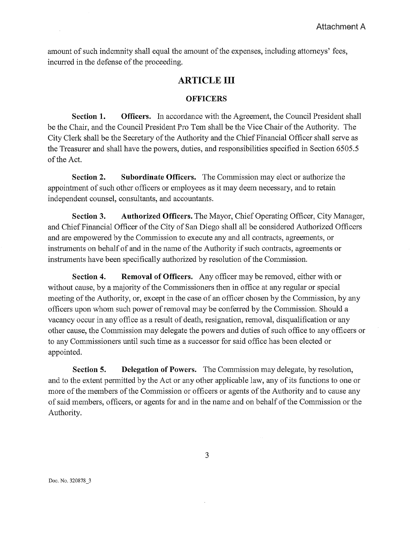amount of such indemnity shall equal the amount of the expenses, including attorneys' fees, incurred in the defense of the proceeding.

## **ARTICLE III**

#### **OFFICERS**

**Section 1. Officers.** In accordance with the Agreement, the Council President shall be the Chair, and the Council President Pro Tem shall be the Vice Chair of the Authority. The City Clerk shall be the Secretary of the Authority and the Chief Financial Officer shall serve as the Treasurer and shall have the powers, duties, and responsibilities specified in Section 6505.5 of the Act.

**Section 2. Subordinate Officers.** The Commission may elect or authorize the appointment of such other officers or employees as it may deem necessary, and to retain independent counsel, consultants, and accountants.

**Section 3. Authorized Officers.** The Mayor, Chief Operating Officer, City Manager, and Chief Financial Officer of the City of San Diego shall all be considered Authorized Officers and are empowered by the Commission to execute any and all contracts, agreements, or instruments on behalf of and in the name of the Authority if such contracts, agreements or instruments have been specifically authorized by resolution of the Commission.

**Section 4. Removal of Officers.** Any officer may be removed, either with or without cause, by a majority of the Commissioners then in office at any regular or special meeting of the Authority, or, except in the case of an officer chosen by the Commission, by any officers upon whom such power of removal may be confened by the Commission. Should a vacancy occur in any office as a result of death, resignation, removal, disqualification or any other cause, the Cmmnission may delegate the powers and duties of such office to any officers or to any Commissioners until such time as a successor for said office has been elected or appointed.

**Section 5. Delegation of Powers.** The Commission may delegate, by resolution, and to the extent pennitted by the Act or any other applicable law, any of its functions to one or more of the members of the Commission or officers or agents of the Authority and to cause any of said members, officers, or agents for and in the name and on behalf ofthe Commission or the Authority.

3

Doc. No. 320878\_3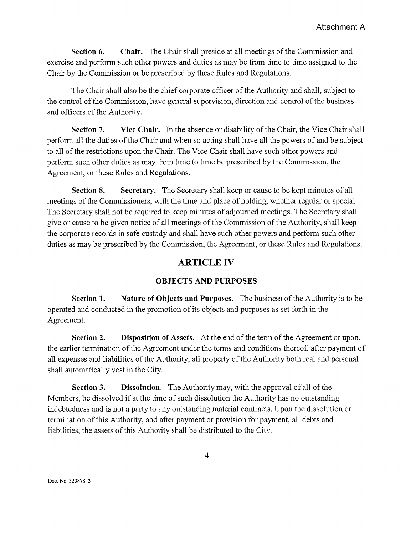**Section 6.** Chair. The Chair shall preside at all meetings of the Commission and exercise and perform such other powers and duties as may be from time to time assigned to the Chair by the Commission or be prescribed by these Rules and Regulations.

The Chair shall also be the chief corporate officer ofthe Authority and shall, subject to the control of the Commission, have general supervision, direction and control of the business and officers of the Authority.

**Section 7.** Vice Chair. In the absence or disability of the Chair, the Vice Chair shall perfonn all the duties of the Chair and when so acting shall have all the powers of and be subject to all of the restrictions upon the Chair. The Vice Chair shall have such other powers and perform such other duties as may from time to time be prescribed by the Commission, the Agreement, or these Rules and Regulations.

**Section 8. Secretary.** The Secretary shall keep or cause to be kept minutes of all meetings of the Commissioners, with the time and place of holding, whether regular or special. The Secretary shall not be required to keep minutes of adjoumed meetings. The Secretary shall give or cause to be given notice of all meetings of the Commission of the Authority, shall keep the corporate records in safe custody and shall have such other powers and perform such other duties as may be prescribed by the Commission, the Agreement, or these Rules and Regulations.

## **ARTICLE IV**

### **OBJECTS AND PURPOSES**

**Section 1. Nature of Objects and Purposes.** The business of the Authority is to be operated and conducted in the promotion of its objects and purposes as set forth in the Agreement.

**Section 2.** Disposition of Assets. At the end of the term of the Agreement or upon, the earlier termination of the Agreement under the terms and conditions thereof, after payment of all expenses and liabilities of the Authority, all propetiy of the Authority both real and personal shall automatically vest in the City.

**Section 3. Dissolution.** The Authority may, with the approval of all of the Members, be dissolved if at the time of such dissolution the Authority has no outstanding indebtedness and is not a party to any outstanding material contracts. Upon the dissolution or termination of this Authority, and after payment or provision for payment, all debts and liabilities, the assets of this Authority shall be distributed to the City.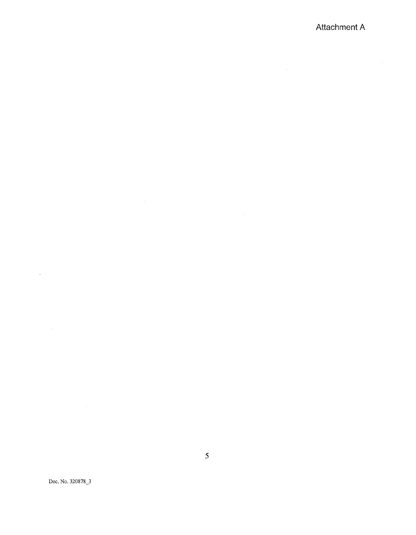## **Attachment A**

 $\label{eq:2.1} \mathcal{L}(\mathbf{y}) = \mathcal{L}(\mathbf{y}) = \mathcal{L}(\mathbf{y}) = \mathcal{L}(\mathbf{y}) = \mathcal{L}(\mathbf{y})$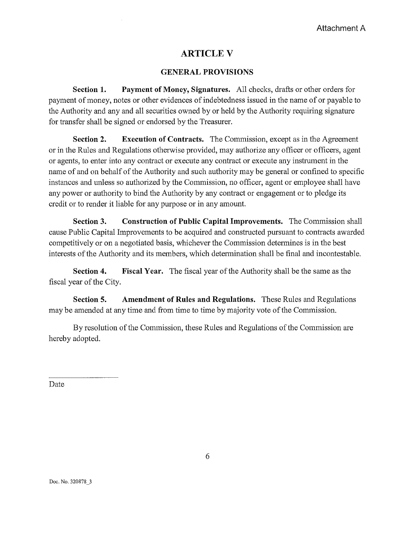# **ARTICLE V**

## **GENERAL PROVISIONS**

**Section 1. Payment of Money, Signatures.** All checks, drafts or other orders for payment of money, notes or other evidences of indebtedness issued in the name of or payable to the Authority and any and all securities owned by or held by the Authority requiring signature for transfer shall be signed or endorsed by the Treasurer.

**Section 2. Execution of Contracts.** The Commission, except as in the Agreement or in the Rules and Regulations otherwise provided, may authorize any officer or officers, agent or agents, to enter into any contract or execute any contract or execute any instrument in the name of and on behalf of the Authority and such authority may be general or confined to specific instances and unless so authorized by the Commission, no officer, agent or employee shall have any power or authority to bind the Authority by any contract or engagement or to pledge its credit or to render it liable for any purpose or in any amount.

**Section 3. Construction of Public Capital Improvements.** The Commission shall cause Public Capital Improvements to be acquired and constructed pursuant to contracts awarded competitively or on a negotiated basis, whichever the Commission detennines is in the best interests of the Authority and its members, which detennination shall be final and incontestable.

**Section 4. Fiscal Year.** The fiscal year of the Authority shall be the same as the fiscal year of the City.

**Section 5. Amendment of Rules and Regulations.** These Rules and Regulations may be amended at any time and from time to time by majority vote of the Commission.

By resolution of the Commission, these Rules and Regulations of the Commission are hereby adopted.

Date